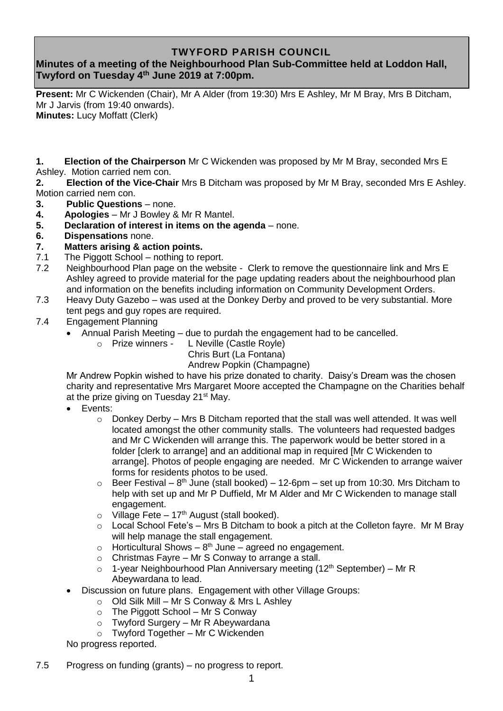## **TWYFORD PARISH COUNCIL**

# **Minutes of a meeting of the Neighbourhood Plan Sub-Committee held at Loddon Hall, Twyford on Tuesday 4 th June 2019 at 7:00pm.**

**Present:** Mr C Wickenden (Chair), Mr A Alder (from 19:30) Mrs E Ashley, Mr M Bray, Mrs B Ditcham, Mr J Jarvis (from 19:40 onwards). **Minutes:** Lucy Moffatt (Clerk)

**1. Election of the Chairperson** Mr C Wickenden was proposed by Mr M Bray, seconded Mrs E Ashley. Motion carried nem con.

**2. Election of the Vice-Chair** Mrs B Ditcham was proposed by Mr M Bray, seconded Mrs E Ashley. Motion carried nem con.

- **3. Public Questions** none.
- **4. Apologies** Mr J Bowley & Mr R Mantel.
- **5. Declaration of interest in items on the agenda** none.
- **6. Dispensations** none.
- **7. Matters arising & action points.**
- 7.1 The Piggott School nothing to report.
- 7.2 Neighbourhood Plan page on the website Clerk to remove the questionnaire link and Mrs E Ashley agreed to provide material for the page updating readers about the neighbourhood plan and information on the benefits including information on Community Development Orders.
- 7.3 Heavy Duty Gazebo was used at the Donkey Derby and proved to be very substantial. More tent pegs and guy ropes are required.
- 7.4 Engagement Planning
	- Annual Parish Meeting due to purdah the engagement had to be cancelled.
		- o Prize winners L Neville (Castle Royle)
			- Chris Burt (La Fontana)

Andrew Popkin (Champagne)

Mr Andrew Popkin wished to have his prize donated to charity. Daisy's Dream was the chosen charity and representative Mrs Margaret Moore accepted the Champagne on the Charities behalf at the prize giving on Tuesday 21<sup>st</sup> May.

- Events:
	- $\circ$  Donkey Derby Mrs B Ditcham reported that the stall was well attended. It was well located amongst the other community stalls. The volunteers had requested badges and Mr C Wickenden will arrange this. The paperwork would be better stored in a folder [clerk to arrange] and an additional map in required [Mr C Wickenden to arrange]. Photos of people engaging are needed. Mr C Wickenden to arrange waiver forms for residents photos to be used.
	- $\circ$  Beer Festival 8<sup>th</sup> June (stall booked) 12-6pm set up from 10:30. Mrs Ditcham to help with set up and Mr P Duffield, Mr M Alder and Mr C Wickenden to manage stall engagement.
	- o Village Fete  $17<sup>th</sup>$  August (stall booked).
	- o Local School Fete's Mrs B Ditcham to book a pitch at the Colleton fayre. Mr M Bray will help manage the stall engagement.
	- $\circ$  Horticultural Shows 8<sup>th</sup> June agreed no engagement.
	- o Christmas Fayre Mr S Conway to arrange a stall.
	- $\circ$  1-year Neighbourhood Plan Anniversary meeting (12<sup>th</sup> September) Mr R Abeywardana to lead.
	- Discussion on future plans. Engagement with other Village Groups:
		- $\circ$  Old Silk Mill Mr S Conway & Mrs L Ashley
		- $\circ$  The Piggott School Mr S Conway
		- o Twyford Surgery Mr R Abeywardana
		- o Twyford Together Mr C Wickenden

No progress reported.

7.5 Progress on funding (grants) – no progress to report.